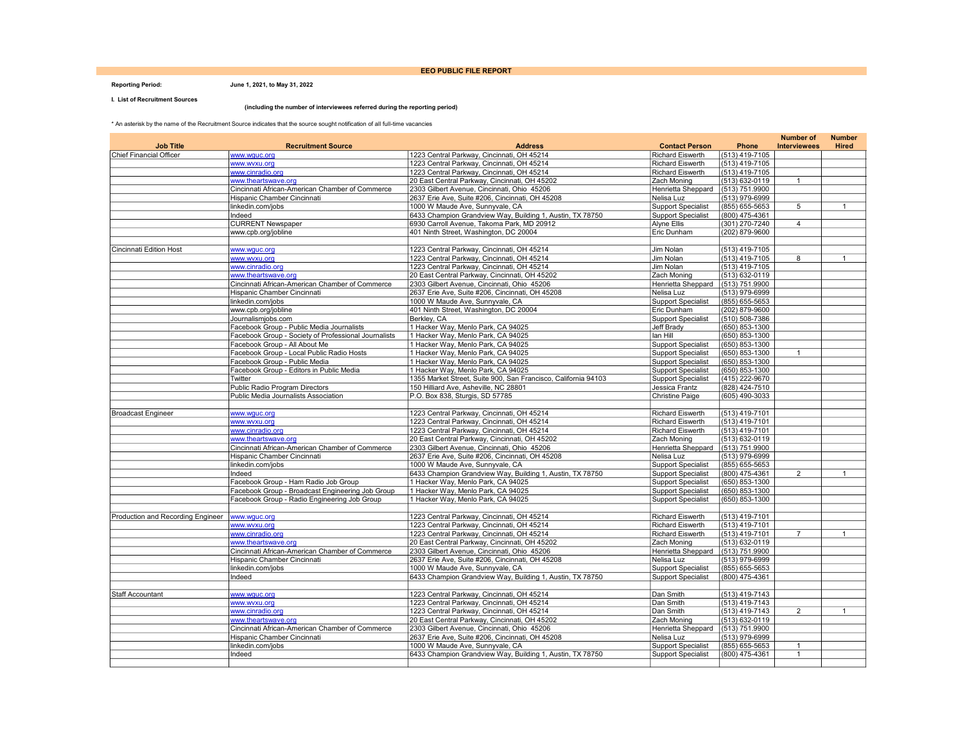#### EEO PUBLIC FILE REPORT

#### Reporting Period: June 1, 2021, to May 31, 2022

I. List of Recruitment Sources

**COL** 

#### (including the number of interviewees referred during the reporting period)

\* An asterisk by the name of the Recruitment Source indicates that the source sought notification of all full-time vacancies

|                                   |                                                      |                                                                |                                   |                    | <b>Number of</b>    | <b>Number</b> |
|-----------------------------------|------------------------------------------------------|----------------------------------------------------------------|-----------------------------------|--------------------|---------------------|---------------|
| <b>Job Title</b>                  | <b>Recruitment Source</b>                            | <b>Address</b>                                                 | <b>Contact Person</b>             | Phone              | <b>Interviewees</b> | <b>Hired</b>  |
| Chief Financial Officer           | www.wguc.org                                         | 1223 Central Parkway, Cincinnati, OH 45214                     | <b>Richard Eiswerth</b>           | (513) 419-7105     |                     |               |
|                                   | www.wvxu.org                                         | 1223 Central Parkway, Cincinnati, OH 45214                     | Richard Eiswerth                  | $(513)$ 419-7105   |                     |               |
|                                   | www.cinradio.org                                     | 1223 Central Parkway, Cincinnati, OH 45214                     | <b>Richard Eiswerth</b>           | $(513)$ 419-7105   |                     |               |
|                                   | www.theartswave.org                                  | 20 East Central Parkway, Cincinnati, OH 45202                  | Zach Moning                       | (513) 632-0119     | $\mathbf{1}$        |               |
|                                   | Cincinnati African-American Chamber of Commerce      | 2303 Gilbert Avenue, Cincinnati, Ohio 45206                    | Henrietta Sheppard                | (513) 751.9900     |                     |               |
|                                   | Hispanic Chamber Cincinnati                          | 2637 Erie Ave, Suite #206, Cincinnati, OH 45208                | Nelisa Luz                        | (513) 979-6999     |                     |               |
|                                   | linkedin.com/jobs                                    | 1000 W Maude Ave, Sunnyvale, CA                                | <b>Support Specialist</b>         | (855) 655-5653     | 5                   | $\mathbf{1}$  |
|                                   | Indeed                                               | 6433 Champion Grandview Way, Building 1, Austin, TX 78750      | <b>Support Specialist</b>         | (800) 475-4361     |                     |               |
|                                   | <b>CURRENT Newspaper</b>                             | 6930 Carroll Avenue, Takoma Park, MD 20912                     | Alyne Ellis                       | (301) 270-7240     | $\overline{4}$      |               |
|                                   | www.cpb.org/jobline                                  | 401 Ninth Street, Washington, DC 20004                         | Eric Dunham                       | (202) 879-9600     |                     |               |
|                                   |                                                      |                                                                |                                   |                    |                     |               |
| Cincinnati Edition Host           | www.wguc.org                                         | 1223 Central Parkway, Cincinnati, OH 45214                     | Jim Nolan                         | (513) 419-7105     |                     |               |
|                                   | www.wvxu.org                                         | 1223 Central Parkway, Cincinnati, OH 45214                     | Jim Nolan                         | (513) 419-7105     | 8                   | $\mathbf{1}$  |
|                                   | www.cinradio.org                                     | 1223 Central Parkway, Cincinnati, OH 45214                     | Jim Nolan                         | (513) 419-7105     |                     |               |
|                                   | www.theartswave.org                                  |                                                                |                                   |                    |                     |               |
|                                   |                                                      | 20 East Central Parkway, Cincinnati, OH 45202                  | Zach Moning                       | (513) 632-0119     |                     |               |
|                                   | Cincinnati African-American Chamber of Commerce      | 2303 Gilbert Avenue, Cincinnati, Ohio 45206                    | Henrietta Sheppard                | (513) 751.9900     |                     |               |
|                                   | Hispanic Chamber Cincinnati                          | 2637 Erie Ave, Suite #206, Cincinnati, OH 45208                | Nelisa Luz                        | (513) 979-6999     |                     |               |
|                                   | linkedin.com/jobs                                    | 1000 W Maude Ave, Sunnyvale, CA                                | <b>Support Specialist</b>         | (855) 655-5653     |                     |               |
|                                   | www.cpb.org/jobline                                  | 401 Ninth Street, Washington, DC 20004                         | Eric Dunham                       | (202) 879-9600     |                     |               |
|                                   | Journalismjobs.com                                   | Berkley, CA                                                    | <b>Support Specialist</b>         | (510) 508-7386     |                     |               |
|                                   | Facebook Group - Public Media Journalists            | 1 Hacker Way, Menlo Park, CA 94025                             | Jeff Brady                        | $(650)$ 853-1300   |                     |               |
|                                   | Facebook Group - Society of Professional Journalists | 1 Hacker Way, Menlo Park, CA 94025                             | lan Hill                          | (650) 853-1300     |                     |               |
|                                   | Facebook Group - All About Me                        | 1 Hacker Way, Menlo Park, CA 94025                             | <b>Support Specialist</b>         | (650) 853-1300     |                     |               |
|                                   | Facebook Group - Local Public Radio Hosts            | 1 Hacker Wav, Menlo Park, CA 94025                             | <b>Support Specialist</b>         | (650) 853-1300     | $\mathbf{1}$        |               |
|                                   | Facebook Group - Public Media                        | 1 Hacker Way, Menlo Park, CA 94025                             | <b>Support Specialist</b>         | $(650) 853 - 1300$ |                     |               |
|                                   | Facebook Group - Editors in Public Media             | 1 Hacker Way, Menlo Park, CA 94025                             | <b>Support Specialist</b>         | (650) 853-1300     |                     |               |
|                                   | Twitter                                              | 1355 Market Street, Suite 900, San Francisco, California 94103 | <b>Support Specialist</b>         | (415) 222-9670     |                     |               |
|                                   | Public Radio Program Directors                       | 150 Hilliard Ave, Asheville, NC 28801                          | Jessica Frantz                    | (828) 424-7510     |                     |               |
|                                   | Public Media Journalists Association                 | P.O. Box 838, Sturgis, SD 57785                                | Christine Paige                   | $(605)$ 490-3033   |                     |               |
|                                   |                                                      |                                                                |                                   |                    |                     |               |
|                                   |                                                      |                                                                |                                   |                    |                     |               |
| <b>Broadcast Engineer</b>         | www.wauc.ora                                         | 1223 Central Parkway, Cincinnati, OH 45214                     | Richard Eiswerth                  | (513) 419-7101     |                     |               |
|                                   | www.wvxu.org                                         | 1223 Central Parkway, Cincinnati, OH 45214                     | <b>Richard Eiswerth</b>           | (513) 419-7101     |                     |               |
|                                   | www.cinradio.org                                     | 1223 Central Parkway, Cincinnati, OH 45214                     | <b>Richard Eiswerth</b>           | (513) 419-7101     |                     |               |
|                                   | www.theartswave.org                                  | 20 East Central Parkway, Cincinnati, OH 45202                  | Zach Moning                       | (513) 632-0119     |                     |               |
|                                   | Cincinnati African-American Chamber of Commerce      | 2303 Gilbert Avenue, Cincinnati, Ohio 45206                    | Henrietta Sheppard                | (513) 751.9900     |                     |               |
|                                   | Hispanic Chamber Cincinnati                          | 2637 Erie Ave, Suite #206, Cincinnati, OH 45208                | Nelisa Luz                        | (513) 979-6999     |                     |               |
|                                   | linkedin.com/jobs                                    | 1000 W Maude Ave, Sunnyvale, CA                                | <b>Support Specialist</b>         | (855) 655-5653     |                     |               |
|                                   | Indeed                                               | 6433 Champion Grandview Way, Building 1, Austin, TX 78750      | <b>Support Specialist</b>         | (800) 475-4361     | $\overline{2}$      | $\mathbf{1}$  |
|                                   | Facebook Group - Ham Radio Job Group                 | 1 Hacker Way, Menlo Park, CA 94025                             | <b>Support Specialist</b>         | (650) 853-1300     |                     |               |
|                                   | Facebook Group - Broadcast Engineering Job Group     | 1 Hacker Way, Menlo Park, CA 94025                             | <b>Support Specialist</b>         | (650) 853-1300     |                     |               |
|                                   | Facebook Group - Radio Engineering Job Group         | 1 Hacker Way, Menlo Park, CA 94025                             | <b>Support Specialist</b>         | $(650) 853 - 1300$ |                     |               |
|                                   |                                                      |                                                                |                                   |                    |                     |               |
| Production and Recording Engineer | www.wauc.ora                                         | 1223 Central Parkway, Cincinnati, OH 45214                     | <b>Richard Eiswerth</b>           | (513) 419-7101     |                     |               |
|                                   | www.wvxu.org                                         | 1223 Central Parkway, Cincinnati, OH 45214                     | <b>Richard Eiswerth</b>           | (513) 419-7101     |                     |               |
|                                   | www.cinradio.org                                     | 1223 Central Parkway, Cincinnati, OH 45214                     | <b>Richard Eiswerth</b>           | (513) 419-7101     | $\overline{7}$      | $\mathbf{1}$  |
|                                   | www.theartswave.org                                  | 20 East Central Parkway, Cincinnati, OH 45202                  | Zach Moning                       | (513) 632-0119     |                     |               |
|                                   | Cincinnati African-American Chamber of Commerce      | 2303 Gilbert Avenue, Cincinnati, Ohio 45206                    |                                   |                    |                     |               |
|                                   |                                                      |                                                                | Henrietta Sheppard<br>Nelisa Luz  | (513) 751.9900     |                     |               |
|                                   | Hispanic Chamber Cincinnati                          | 2637 Erie Ave, Suite #206, Cincinnati, OH 45208                |                                   | (513) 979-6999     |                     |               |
|                                   | linkedin.com/jobs                                    | 1000 W Maude Ave, Sunnyvale, CA                                | <b>Support Specialist</b>         | (855) 655-5653     |                     |               |
|                                   | Indeed                                               | 6433 Champion Grandview Way, Building 1, Austin, TX 78750      | <b>Support Specialist</b>         | (800) 475-4361     |                     |               |
|                                   |                                                      |                                                                |                                   |                    |                     |               |
| <b>Staff Accountant</b>           | www.wauc.ora                                         | 1223 Central Parkway, Cincinnati, OH 45214                     | Dan Smith                         | (513) 419-7143     |                     |               |
|                                   | www.wvxu.org                                         | 1223 Central Parkway, Cincinnati, OH 45214                     | Dan Smith                         | (513) 419-7143     |                     |               |
|                                   | www.cinradio.org                                     | 1223 Central Parkway, Cincinnati, OH 45214                     | Dan Smith                         | (513) 419-7143     | $\overline{2}$      | $\mathbf{1}$  |
|                                   | www.theartswave.org                                  | 20 East Central Parkway, Cincinnati, OH 45202                  | Zach Moning                       | (513) 632-0119     |                     |               |
|                                   | Cincinnati African-American Chamber of Commerce      | 2303 Gilbert Avenue, Cincinnati, Ohio 45206                    | Henrietta Sheppard (513) 751.9900 |                    |                     |               |
|                                   | Hispanic Chamber Cincinnati                          | 2637 Erie Ave, Suite #206, Cincinnati, OH 45208                | Nelisa Luz                        | (513) 979-6999     |                     |               |
|                                   | linkedin.com/jobs                                    | 1000 W Maude Ave, Sunnyvale, CA                                | <b>Support Specialist</b>         | (855) 655-5653     | $\mathbf{1}$        |               |
|                                   | Indeed                                               | 6433 Champion Grandview Way, Building 1, Austin, TX 78750      | <b>Support Specialist</b>         | (800) 475-4361     | $\mathbf{1}$        |               |
|                                   |                                                      |                                                                |                                   |                    |                     |               |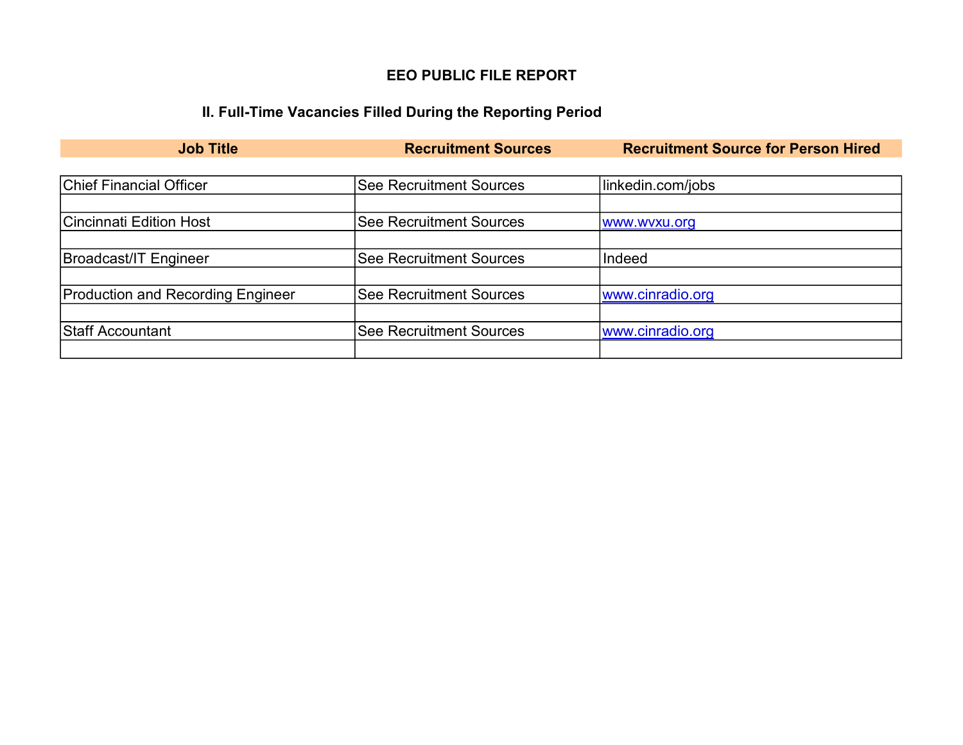## EEO PUBLIC FILE REPORT

# II. Full-Time Vacancies Filled During the Reporting Period

| <b>Job Title</b>                         | <b>Recruitment Sources</b>     | <b>Recruitment Source for Person Hired</b> |
|------------------------------------------|--------------------------------|--------------------------------------------|
|                                          |                                |                                            |
| <b>Chief Financial Officer</b>           | <b>See Recruitment Sources</b> | linkedin.com/jobs                          |
|                                          |                                |                                            |
| Cincinnati Edition Host                  | <b>See Recruitment Sources</b> | www.wvxu.org                               |
|                                          |                                |                                            |
| Broadcast/IT Engineer                    | <b>See Recruitment Sources</b> | Indeed                                     |
|                                          |                                |                                            |
| <b>Production and Recording Engineer</b> | <b>See Recruitment Sources</b> | www.cinradio.org                           |
|                                          |                                |                                            |
| Staff Accountant                         | <b>See Recruitment Sources</b> | www.cinradio.org                           |
|                                          |                                |                                            |